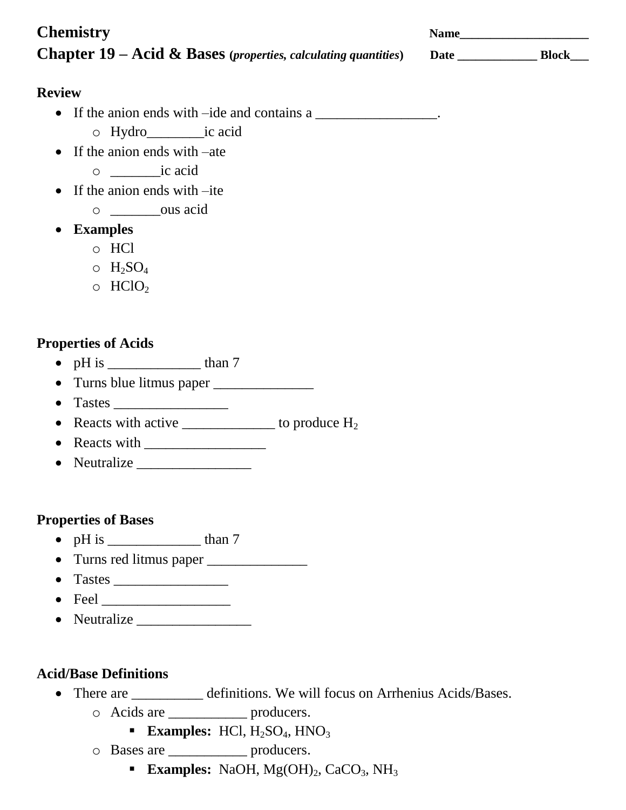| <b>Chemistry</b>                                                          | <b>Name</b> |              |
|---------------------------------------------------------------------------|-------------|--------------|
| <b>Chapter 19 – Acid &amp; Bases</b> (properties, calculating quantities) | <b>Date</b> | <b>Block</b> |

#### **Review**

- If the anion ends with –ide and contains a \_\_\_\_\_\_\_\_\_\_\_\_\_\_\_\_.
	- o Hydro\_\_\_\_\_\_\_\_ic acid
- If the anion ends with –ate
	- o \_\_\_\_\_\_\_ic acid
- If the anion ends with –ite
	- o \_\_\_\_\_\_\_ous acid
- **Examples**
	- o HCl
	- $\circ$  H<sub>2</sub>SO<sub>4</sub>
	- $\circ$  HClO<sub>2</sub>

### **Properties of Acids**

- pH is  $\_\_\_\_\_\$  than 7
- Turns blue litmus paper \_\_\_\_\_\_\_\_\_\_\_\_\_\_
- $\bullet$  Tastes
- Reacts with active  $\frac{1}{2}$  to produce  $H_2$
- Reacts with
- Neutralize

#### **Properties of Bases**

- $pH$  is than 7
- Turns red litmus paper
- $\bullet$  Tastes
- $\bullet$  Feel  $\qquad \qquad$
- Neutralize \_\_\_\_\_\_\_\_\_\_\_\_\_\_\_\_

#### **Acid/Base Definitions**

- There are \_\_\_\_\_\_\_\_\_\_ definitions. We will focus on Arrhenius Acids/Bases.
	- o Acids are \_\_\_\_\_\_\_\_\_\_\_ producers.
		- **Examples:**  $HC1, H<sub>2</sub>SO<sub>4</sub>, HNO<sub>3</sub>$
	- o Bases are \_\_\_\_\_\_\_\_\_\_\_ producers.
		- **Examples:** NaOH, Mg(OH)<sub>2</sub>, CaCO<sub>3</sub>, NH<sub>3</sub>